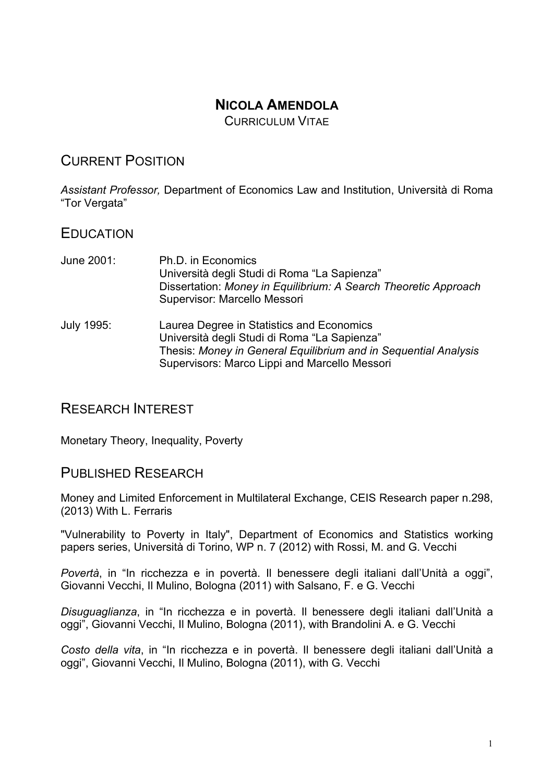## **NICOLA AMENDOLA**

CURRICULUM VITAF

# CURRENT POSITION

*Assistant Professor,* Department of Economics Law and Institution, Università di Roma "Tor Vergata"

### EDUCATION

- June 2001: Ph.D. in Economics Università degli Studi di Roma "La Sapienza" Dissertation: *Money in Equilibrium: A Search Theoretic Approach* Supervisor: Marcello Messori July 1995: Laurea Degree in Statistics and Economics Università degli Studi di Roma "La Sapienza"
	- Thesis: *Money in General Equilibrium and in Sequential Analysis* Supervisors: Marco Lippi and Marcello Messori

### RESEARCH INTEREST

Monetary Theory, Inequality, Poverty

### PUBLISHED RESEARCH

Money and Limited Enforcement in Multilateral Exchange, CEIS Research paper n.298, (2013) With L. Ferraris

"Vulnerability to Poverty in Italy", Department of Economics and Statistics working papers series, Università di Torino, WP n. 7 (2012) with Rossi, M. and G. Vecchi

*Povertà*, in "In ricchezza e in povertà. Il benessere degli italiani dall'Unità a oggi", Giovanni Vecchi, Il Mulino, Bologna (2011) with Salsano, F. e G. Vecchi

*Disuguaglianza*, in "In ricchezza e in povertà. Il benessere degli italiani dall'Unità a oggi", Giovanni Vecchi, Il Mulino, Bologna (2011), with Brandolini A. e G. Vecchi

*Costo della vita*, in "In ricchezza e in povertà. Il benessere degli italiani dall'Unità a oggi", Giovanni Vecchi, Il Mulino, Bologna (2011), with G. Vecchi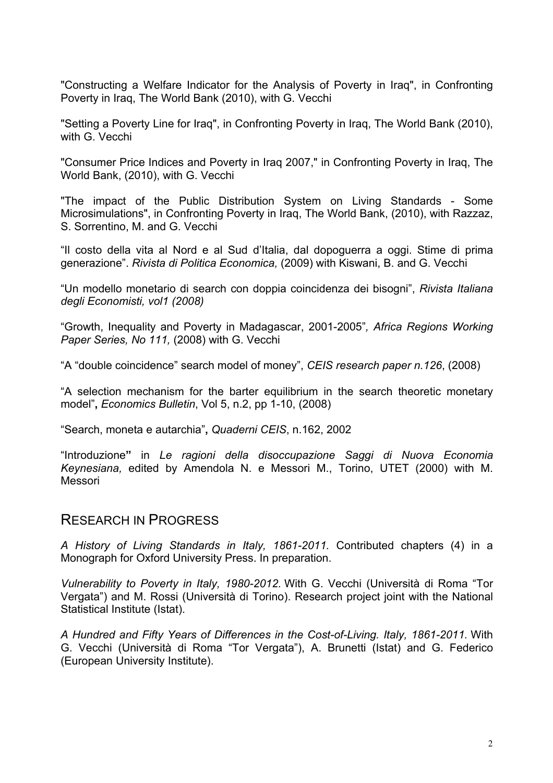"Constructing a Welfare Indicator for the Analysis of Poverty in Iraq", in Confronting Poverty in Iraq, The World Bank (2010), with G. Vecchi

"Setting a Poverty Line for Iraq", in Confronting Poverty in Iraq, The World Bank (2010), with G. Vecchi

"Consumer Price Indices and Poverty in Iraq 2007," in Confronting Poverty in Iraq, The World Bank, (2010), with G. Vecchi

"The impact of the Public Distribution System on Living Standards - Some Microsimulations", in Confronting Poverty in Iraq, The World Bank, (2010), with Razzaz, S. Sorrentino, M. and G. Vecchi

"Il costo della vita al Nord e al Sud d'Italia, dal dopoguerra a oggi. Stime di prima generazione". *Rivista di Politica Economica,* (2009) with Kiswani, B. and G. Vecchi

"Un modello monetario di search con doppia coincidenza dei bisogni", *Rivista Italiana degli Economisti, vol1 (2008)*

"Growth, Inequality and Poverty in Madagascar, 2001-2005"*, Africa Regions Working Paper Series, No 111,* (2008) with G. Vecchi

"A "double coincidence" search model of money", *CEIS research paper n.126*, (2008)

"A selection mechanism for the barter equilibrium in the search theoretic monetary model"**,** *Economics Bulletin*, Vol 5, n.2, pp 1-10, (2008)

"Search, moneta e autarchia"**,** *Quaderni CEIS*, n.162, 2002

"Introduzione**"** in *Le ragioni della disoccupazione Saggi di Nuova Economia Keynesiana,* edited by Amendola N. e Messori M., Torino, UTET (2000) with M. Messori

#### RESEARCH IN PROGRESS

*A History of Living Standards in Italy, 1861-2011.* Contributed chapters (4) in a Monograph for Oxford University Press. In preparation.

*Vulnerability to Poverty in Italy, 1980-2012.* With G. Vecchi (Università di Roma "Tor Vergata") and M. Rossi (Università di Torino). Research project joint with the National Statistical Institute (Istat).

*A Hundred and Fifty Years of Differences in the Cost-of-Living. Italy, 1861-2011.* With G. Vecchi (Università di Roma "Tor Vergata"), A. Brunetti (Istat) and G. Federico (European University Institute).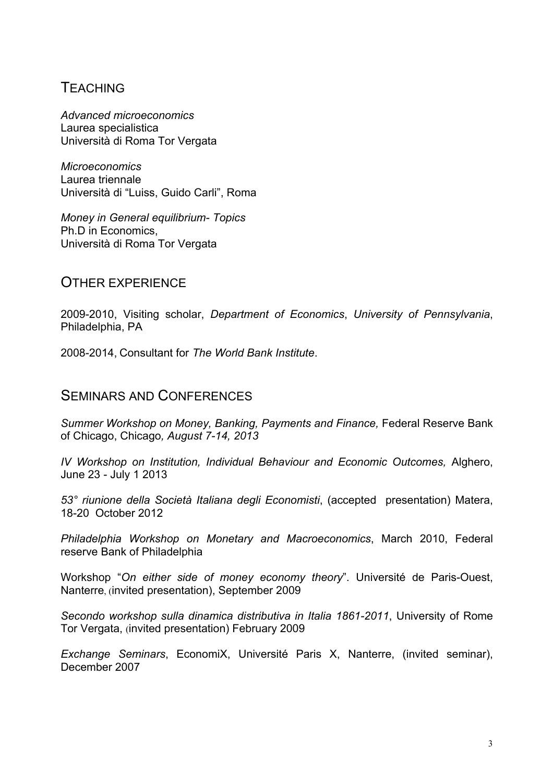## **TEACHING**

*Advanced microeconomics* Laurea specialistica Università di Roma Tor Vergata

*Microeconomics* Laurea triennale Università di "Luiss, Guido Carli", Roma

*Money in General equilibrium- Topics* Ph.D in Economics, Università di Roma Tor Vergata

### OTHER EXPERIENCE

2009-2010, Visiting scholar, *Department of Economics*, *University of Pennsylvania*, Philadelphia, PA

2008-2014, Consultant for *The World Bank Institute*.

### SEMINARS AND CONFERENCES

*Summer Workshop on Money, Banking, Payments and Finance, Federal Reserve Bank* of Chicago, Chicago*, August 7-14, 2013*

*IV Workshop on Institution, Individual Behaviour and Economic Outcomes,* Alghero, June 23 - July 1 2013

*53° riunione della Società Italiana degli Economisti*, (accepted presentation) Matera, 18-20 October 2012

*Philadelphia Workshop on Monetary and Macroeconomics*, March 2010, Federal reserve Bank of Philadelphia

Workshop "*On either side of money economy theory*". Université de Paris-Ouest, Nanterre, (invited presentation), September 2009

*Secondo workshop sulla dinamica distributiva in Italia 1861-2011*, University of Rome Tor Vergata, (invited presentation) February 2009

*Exchange Seminars*, EconomiX, Université Paris X, Nanterre, (invited seminar), December 2007